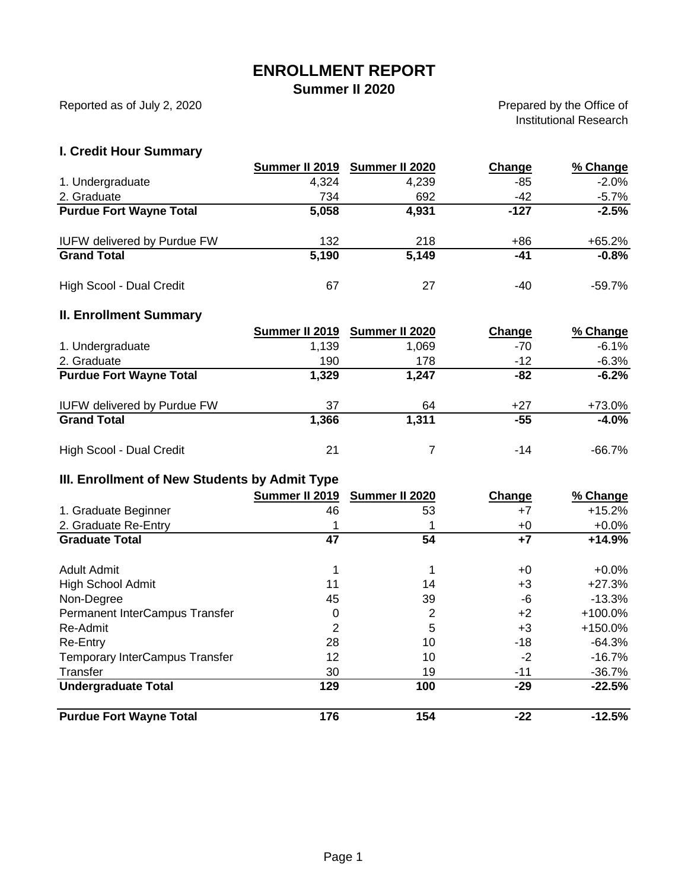## **ENROLLMENT REPORT**

### **Summer II 2020**

Reported as of July 2, 2020

Prepared by the Office of Institutional Research

## **I. Credit Hour Summary**

|                                    | Summer II 2019 | Summer II 2020 | Change | % Change |
|------------------------------------|----------------|----------------|--------|----------|
| 1. Undergraduate                   | 4,324          | 4,239          | -85    | $-2.0%$  |
| 2. Graduate                        | 734            | 692            | $-42$  | $-5.7%$  |
| <b>Purdue Fort Wayne Total</b>     | 5,058          | 4,931          | $-127$ | $-2.5%$  |
| <b>IUFW delivered by Purdue FW</b> | 132            | 218            | $+86$  | $+65.2%$ |
| <b>Grand Total</b>                 | 5,190          | 5,149          | $-41$  | $-0.8%$  |
| High Scool - Dual Credit           | 67             | 27             | -40    | -59.7%   |

### **II. Enrollment Summary**

|                                    | Summer II 2019 | Summer II 2020 | Change | % Change |
|------------------------------------|----------------|----------------|--------|----------|
| 1. Undergraduate                   | 1.139          | 1.069          | -70    | $-6.1%$  |
| 2. Graduate                        | 190            | 178            | $-12$  | $-6.3%$  |
| <b>Purdue Fort Wayne Total</b>     | 1,329          | 1,247          | -82    | $-6.2%$  |
| <b>IUFW delivered by Purdue FW</b> | 37             | 64             | $+27$  | +73.0%   |
| <b>Grand Total</b>                 | 1,366          | 1,311          | -55    | $-4.0%$  |
| High Scool - Dual Credit           | 21             |                | -14    | -66.7%   |

## **III. Enrollment of New Students by Admit Type**

|                                       | Summer II 2019 | Summer II 2020 | Change | % Change  |
|---------------------------------------|----------------|----------------|--------|-----------|
| 1. Graduate Beginner                  | 46             | 53             | +7     | $+15.2%$  |
| 2. Graduate Re-Entry                  |                |                | +0     | $+0.0\%$  |
| <b>Graduate Total</b>                 | 47             | 54             | $+7$   | $+14.9%$  |
| Adult Admit                           |                |                | +0     | $+0.0\%$  |
| <b>High School Admit</b>              | 11             | 14             | $+3$   | $+27.3%$  |
| Non-Degree                            | 45             | 39             | -6     | -13.3%    |
| Permanent InterCampus Transfer        | 0              | 2              | $+2$   | $+100.0%$ |
| Re-Admit                              | 2              | 5              | $+3$   | $+150.0%$ |
| Re-Entry                              | 28             | 10             | $-18$  | $-64.3%$  |
| <b>Temporary InterCampus Transfer</b> | 12             | 10             | $-2$   | -16.7%    |
| Transfer                              | 30             | 19             | -11    | -36.7%    |
| <b>Undergraduate Total</b>            | 129            | 100            | $-29$  | $-22.5%$  |
| <b>Purdue Fort Wayne Total</b>        | 176            | 154            | $-22$  | $-12.5%$  |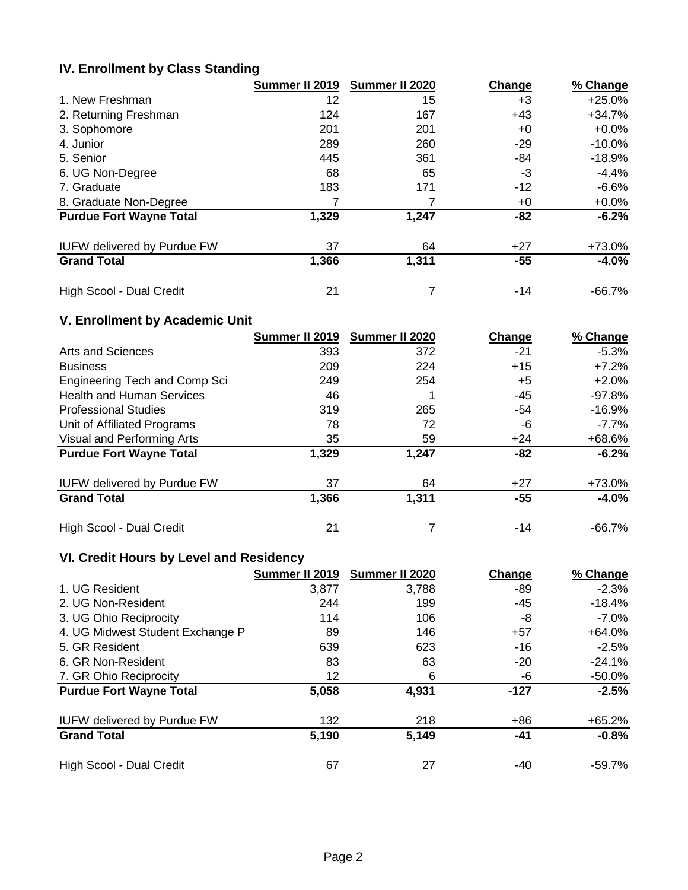## **IV. Enrollment by Class Standing**

|                                    | Summer II 2019 | Summer II 2020 | Change | % Change  |
|------------------------------------|----------------|----------------|--------|-----------|
| 1. New Freshman                    | 12             | 15             | $+3$   | $+25.0%$  |
| 2. Returning Freshman              | 124            | 167            | $+43$  | $+34.7%$  |
| 3. Sophomore                       | 201            | 201            | $+0$   | $+0.0\%$  |
| 4. Junior                          | 289            | 260            | $-29$  | $-10.0%$  |
| 5. Senior                          | 445            | 361            | -84    | -18.9%    |
| 6. UG Non-Degree                   | 68             | 65             | -3     | $-4.4%$   |
| 7. Graduate                        | 183            | 171            | $-12$  | $-6.6%$   |
| 8. Graduate Non-Degree             |                |                | $+0$   | $+0.0%$   |
| <b>Purdue Fort Wayne Total</b>     | 1,329          | 1,247          | $-82$  | $-6.2%$   |
| <b>IUFW delivered by Purdue FW</b> | 37             | 64             | $+27$  | +73.0%    |
| <b>Grand Total</b>                 | 1,366          | 1,311          | $-55$  | $-4.0%$   |
| High Scool - Dual Credit           | 21             |                | $-14$  | $-66.7\%$ |

## **V. Enrollment by Academic Unit**

|                                    | Summer II 2019 | Summer II 2020 | Change | % Change |
|------------------------------------|----------------|----------------|--------|----------|
| Arts and Sciences                  | 393            | 372            | $-21$  | $-5.3%$  |
| <b>Business</b>                    | 209            | 224            | $+15$  | $+7.2%$  |
| Engineering Tech and Comp Sci      | 249            | 254            | $+5$   | $+2.0%$  |
| <b>Health and Human Services</b>   | 46             |                | -45    | -97.8%   |
| <b>Professional Studies</b>        | 319            | 265            | -54    | $-16.9%$ |
| Unit of Affiliated Programs        | 78             | 72             | -6     | $-7.7%$  |
| Visual and Performing Arts         | 35             | 59             | +24    | +68.6%   |
| <b>Purdue Fort Wayne Total</b>     | 1,329          | 1,247          | -82    | $-6.2%$  |
| <b>IUFW delivered by Purdue FW</b> | 37             | 64             | $+27$  | $+73.0%$ |
| <b>Grand Total</b>                 | 1,366          | 1,311          | $-55$  | $-4.0%$  |
| High Scool - Dual Credit           | 21             |                | -14    | -66.7%   |

# **VI. Credit Hours by Level and Residency**

|                                    | Summer II 2019 | Summer II 2020 | Change | % Change |
|------------------------------------|----------------|----------------|--------|----------|
| 1. UG Resident                     | 3,877          | 3,788          | -89    | $-2.3%$  |
| 2. UG Non-Resident                 | 244            | 199            | -45    | -18.4%   |
| 3. UG Ohio Reciprocity             | 114            | 106            | -8     | $-7.0\%$ |
| 4. UG Midwest Student Exchange P   | 89             | 146            | $+57$  | +64.0%   |
| 5. GR Resident                     | 639            | 623            | $-16$  | $-2.5\%$ |
| 6. GR Non-Resident                 | 83             | 63             | $-20$  | $-24.1%$ |
| 7. GR Ohio Reciprocity             | 12             | 6              | -6     | -50.0%   |
| <b>Purdue Fort Wayne Total</b>     | 5,058          | 4,931          | $-127$ | $-2.5%$  |
| <b>IUFW delivered by Purdue FW</b> | 132            | 218            | $+86$  | +65.2%   |
| <b>Grand Total</b>                 | 5,190          | 5,149          | -41    | $-0.8%$  |
| High Scool - Dual Credit           | 67             | 27             | $-40$  | -59.7%   |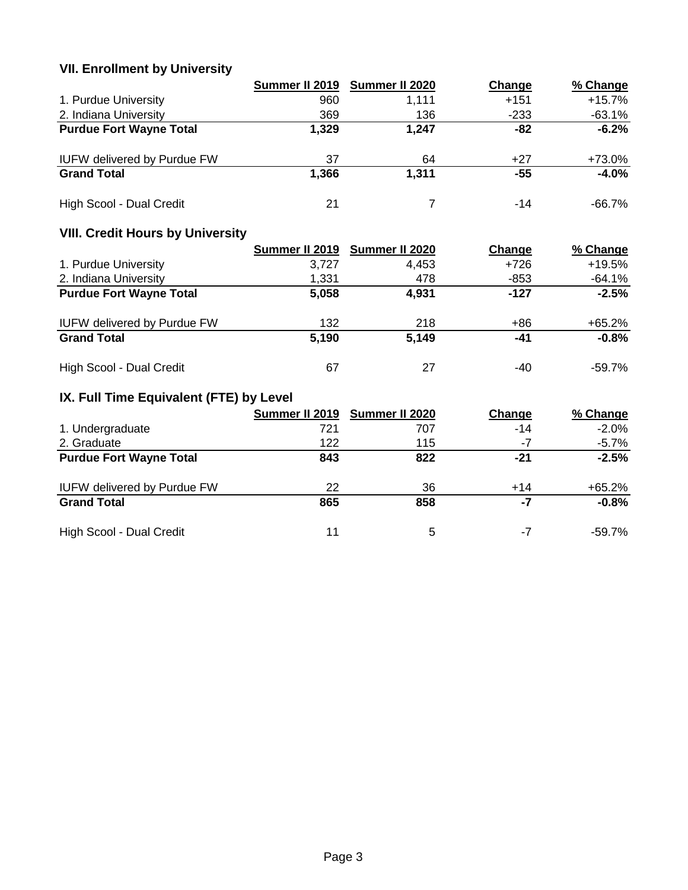# **VII. Enrollment by University**

|                                    | Summer II 2019 | Summer II 2020 | Change | % Change  |
|------------------------------------|----------------|----------------|--------|-----------|
| 1. Purdue University               | 960            | 1,111          | $+151$ | $+15.7%$  |
| 2. Indiana University              | 369            | 136            | $-233$ | $-63.1%$  |
| <b>Purdue Fort Wayne Total</b>     | 1,329          | 1,247          | -82    | $-6.2%$   |
| <b>IUFW delivered by Purdue FW</b> | 37             | 64             | $+27$  | +73.0%    |
| <b>Grand Total</b>                 | 1,366          | 1,311          | -55    | $-4.0%$   |
| High Scool - Dual Credit           | 21             |                | -14    | $-66.7\%$ |

# **VIII. Credit Hours by University**

|                                    |       | Summer II 2019 Summer II 2020 | Change | % Change |
|------------------------------------|-------|-------------------------------|--------|----------|
| 1. Purdue University               | 3.727 | 4.453                         | $+726$ | $+19.5%$ |
| 2. Indiana University              | 1,331 | 478                           | $-853$ | -64.1%   |
| <b>Purdue Fort Wayne Total</b>     | 5,058 | 4,931                         | -127   | $-2.5%$  |
| <b>IUFW delivered by Purdue FW</b> | 132   | 218                           | +86    | $+65.2%$ |
| <b>Grand Total</b>                 | 5,190 | 5,149                         | -41    | $-0.8%$  |
| High Scool - Dual Credit           | 67    | 27                            | -40    | -59.7%   |

# **IX. Full Time Equivalent (FTE) by Level**

|                                    | Summer II 2019 | Summer II 2020 | Change | % Change |
|------------------------------------|----------------|----------------|--------|----------|
| 1. Undergraduate                   | 721            | 707            | $-14$  | $-2.0%$  |
| 2. Graduate                        | 122            | 115            | -7     | $-5.7%$  |
| <b>Purdue Fort Wayne Total</b>     | 843            | 822            | -21    | $-2.5%$  |
| <b>IUFW delivered by Purdue FW</b> | 22             | 36             | $+14$  | $+65.2%$ |
| <b>Grand Total</b>                 | 865            | 858            | -7     | $-0.8%$  |
| High Scool - Dual Credit           | 11             | 5              | -7     | -59.7%   |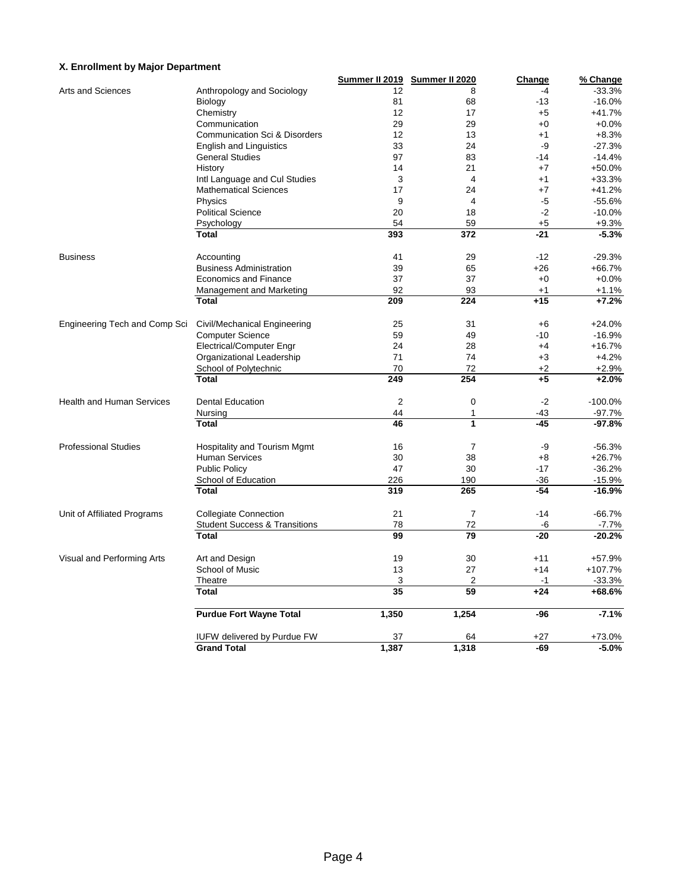### **X. Enrollment by Major Department**

|                                  |                                                               | Summer II 2019  | Summer II 2020          | <b>Change</b> | % Change  |
|----------------------------------|---------------------------------------------------------------|-----------------|-------------------------|---------------|-----------|
| Arts and Sciences                | Anthropology and Sociology                                    | 12              | 8                       | $-4$          | $-33.3%$  |
|                                  | Biology                                                       | 81              | 68                      | $-13$         | $-16.0%$  |
|                                  | Chemistry                                                     | 12              | 17                      | $+5$          | $+41.7%$  |
|                                  | Communication                                                 | 29              | 29                      | $+0$          | $+0.0%$   |
|                                  | <b>Communication Sci &amp; Disorders</b>                      | 12              | 13                      | $+1$          | $+8.3%$   |
|                                  | <b>English and Linguistics</b>                                | 33              | 24                      | -9            | $-27.3%$  |
|                                  | <b>General Studies</b>                                        | 97              | 83                      | $-14$         | $-14.4%$  |
|                                  | History                                                       | 14              | 21                      | $+7$          | +50.0%    |
|                                  |                                                               | 3               | $\overline{4}$          | $+1$          | $+33.3%$  |
|                                  | Intl Language and Cul Studies<br><b>Mathematical Sciences</b> | 17              | 24                      | $+7$          | $+41.2%$  |
|                                  |                                                               |                 | $\overline{\mathbf{4}}$ |               |           |
|                                  | Physics                                                       | 9               |                         | -5            | $-55.6%$  |
|                                  | <b>Political Science</b>                                      | 20              | 18                      | $-2$          | $-10.0%$  |
|                                  | Psychology                                                    | 54              | 59                      | $+5$          | $+9.3%$   |
|                                  | <b>Total</b>                                                  | 393             | 372                     | $-21$         | $-5.3%$   |
| <b>Business</b>                  | Accounting                                                    | 41              | 29                      | $-12$         | $-29.3%$  |
|                                  | <b>Business Administration</b>                                | 39              | 65                      | $+26$         | $+66.7%$  |
|                                  | <b>Economics and Finance</b>                                  | 37              | 37                      | $+0$          | $+0.0%$   |
|                                  | Management and Marketing                                      | 92              | 93                      | $+1$          | $+1.1%$   |
|                                  | <b>Total</b>                                                  | 209             | 224                     | $+15$         | $+7.2%$   |
|                                  |                                                               |                 |                         |               |           |
| Engineering Tech and Comp Sci    | Civil/Mechanical Engineering                                  | 25              | 31                      | $+6$          | $+24.0%$  |
|                                  | <b>Computer Science</b>                                       | 59              | 49                      | $-10$         | $-16.9%$  |
|                                  | Electrical/Computer Engr                                      | 24              | 28                      | $+4$          | $+16.7%$  |
|                                  | Organizational Leadership                                     | 71              | 74                      | $+3$          | $+4.2%$   |
|                                  | School of Polytechnic                                         | 70              | 72                      | $+2$          | $+2.9%$   |
|                                  | <b>Total</b>                                                  | 249             | 254                     | $+5$          | $+2.0%$   |
| <b>Health and Human Services</b> | <b>Dental Education</b>                                       | $\overline{2}$  | $\mathbf 0$             | $-2$          | $-100.0%$ |
|                                  |                                                               |                 |                         |               |           |
|                                  | Nursing                                                       | 44              | 1                       | $-43$         | $-97.7%$  |
|                                  | <b>Total</b>                                                  | 46              | 1                       | $-45$         | $-97.8%$  |
| <b>Professional Studies</b>      | <b>Hospitality and Tourism Mgmt</b>                           | 16              | 7                       | -9            | $-56.3%$  |
|                                  | <b>Human Services</b>                                         | 30              | 38                      | $+8$          | $+26.7%$  |
|                                  | <b>Public Policy</b>                                          | 47              | 30                      | $-17$         | $-36.2%$  |
|                                  | School of Education                                           | 226             | 190                     | $-36$         | $-15.9%$  |
|                                  | <b>Total</b>                                                  | 319             | 265                     | $-54$         | $-16.9%$  |
|                                  |                                                               |                 |                         | $-14$         | $-66.7%$  |
| Unit of Affiliated Programs      | <b>Collegiate Connection</b>                                  | 21              | $\overline{7}$          |               |           |
|                                  | <b>Student Success &amp; Transitions</b>                      | 78              | 72                      | -6            | $-7.7%$   |
|                                  | <b>Total</b>                                                  | 99              | 79                      | $-20$         | $-20.2%$  |
| Visual and Performing Arts       | Art and Design                                                | 19              | 30                      | $+11$         | +57.9%    |
|                                  | School of Music                                               | 13              | 27                      | $+14$         | +107.7%   |
|                                  | Theatre                                                       | 3               | 2                       | -1            | $-33.3%$  |
|                                  | <b>Total</b>                                                  | $\overline{35}$ | 59                      | $+24$         | +68.6%    |
|                                  | <b>Purdue Fort Wayne Total</b>                                | 1,350           | 1,254                   | $-96$         | $-7.1%$   |
|                                  |                                                               |                 |                         |               |           |
|                                  | <b>IUFW delivered by Purdue FW</b>                            | 37              | 64                      | +27           | +73.0%    |
|                                  | <b>Grand Total</b>                                            | 1,387           | 1,318                   | $-69$         | $-5.0%$   |